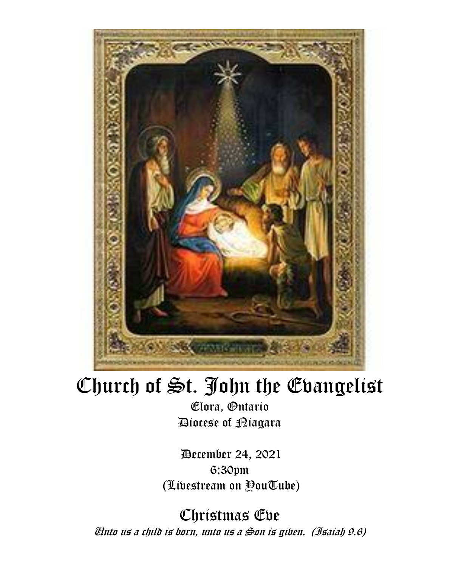

# Church of St. John the Evangelist

Elora, Ontario Diocese of Niagara

December 24, 2021 6:30pm (Livestream on YouTube)

Christmas Eve Unto us a child is born, unto us a Son is given. (Isaiah 9.6)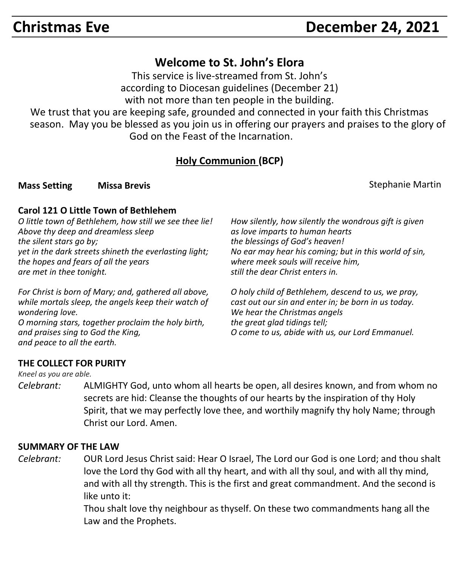## **Christmas Eve December 24, 2021**

### **Welcome to St. John's Elora**

This service is live-streamed from St. John's according to Diocesan guidelines (December 21) with not more than ten people in the building.

We trust that you are keeping safe, grounded and connected in your faith this Christmas season. May you be blessed as you join us in offering our prayers and praises to the glory of God on the Feast of the Incarnation.

#### **Holy Communion (BCP)**

**Mass Setting Missa Brevis And America Control of Stephanie Martin Control of Stephanie Martin** 

#### **Carol 121 O Little Town of Bethlehem**

*O little town of Bethlehem, how still we see thee lie! Above thy deep and dreamless sleep the silent stars go by; yet in the dark streets shineth the everlasting light; the hopes and fears of all the years are met in thee tonight.*

*For Christ is born of Mary; and, gathered all above, while mortals sleep, the angels keep their watch of wondering love. O morning stars, together proclaim the holy birth, and praises sing to God the King, and peace to all the earth.*

*How silently, how silently the wondrous gift is given as love imparts to human hearts the blessings of God's heaven! No ear may hear his coming; but in this world of sin, where meek souls will receive him, still the dear Christ enters in.*

*O holy child of Bethlehem, descend to us, we pray, cast out our sin and enter in; be born in us today. We hear the Christmas angels the great glad tidings tell; O come to us, abide with us, our Lord Emmanuel.*

#### **THE COLLECT FOR PURITY**

*Kneel as you are able.*

*Celebrant:* ALMIGHTY God, unto whom all hearts be open, all desires known, and from whom no secrets are hid: Cleanse the thoughts of our hearts by the inspiration of thy Holy Spirit, that we may perfectly love thee, and worthily magnify thy holy Name; through Christ our Lord. Amen.

#### **SUMMARY OF THE LAW**

*Celebrant:* OUR Lord Jesus Christ said: Hear O Israel, The Lord our God is one Lord; and thou shalt love the Lord thy God with all thy heart, and with all thy soul, and with all thy mind, and with all thy strength. This is the first and great commandment. And the second is like unto it:

> Thou shalt love thy neighbour as thyself. On these two commandments hang all the Law and the Prophets.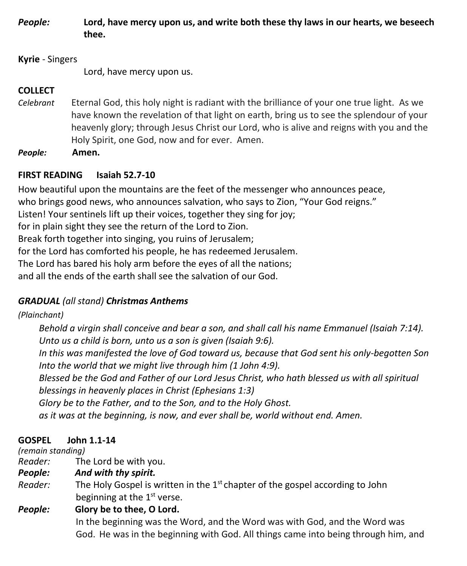*People:* **Lord, have mercy upon us, and write both these thy laws in our hearts, we beseech thee.**

#### **Kyrie** - Singers

Lord, have mercy upon us.

#### **COLLECT**

- *Celebrant* Eternal God, this holy night is radiant with the brilliance of your one true light. As we have known the revelation of that light on earth, bring us to see the splendour of your heavenly glory; through Jesus Christ our Lord, who is alive and reigns with you and the Holy Spirit, one God, now and for ever. Amen.
- *People:* **Amen.**

#### **FIRST READING Isaiah 52.7-10**

How beautiful upon the mountains are the feet of the messenger who announces peace, who brings good news, who announces salvation, who says to Zion, "Your God reigns." Listen! Your sentinels lift up their voices, together they sing for joy; for in plain sight they see the return of the Lord to Zion. Break forth together into singing, you ruins of Jerusalem; for the Lord has comforted his people, he has redeemed Jerusalem. The Lord has bared his holy arm before the eyes of all the nations; and all the ends of the earth shall see the salvation of our God.

#### *GRADUAL (all stand) Christmas Anthems*

#### *(Plainchant)*

*Behold a virgin shall conceive and bear a son, and shall call his name Emmanuel (Isaiah 7:14). Unto us a child is born, unto us a son is given (Isaiah 9:6).*

*In this was manifested the love of God toward us, because that God sent his only-begotten Son Into the world that we might live through him (1 John 4:9).*

*Blessed be the God and Father of our Lord Jesus Christ, who hath blessed us with all spiritual blessings in heavenly places in Christ (Ephesians 1:3)*

 *Glory be to the Father, and to the Son, and to the Holy Ghost.* 

 *as it was at the beginning, is now, and ever shall be, world without end. Amen.*

#### **GOSPEL John 1.1-14**

*(remain standing)*

- *Reader:*The Lord be with you.
- *People: And with thy spirit.*
- Reader: The Holy Gospel is written in the 1<sup>st</sup> chapter of the gospel according to John beginning at the 1<sup>st</sup> verse.
- *People:* **Glory be to thee, O Lord.**

 In the beginning was the Word, and the Word was with God, and the Word was God. He was in the beginning with God. All things came into being through him, and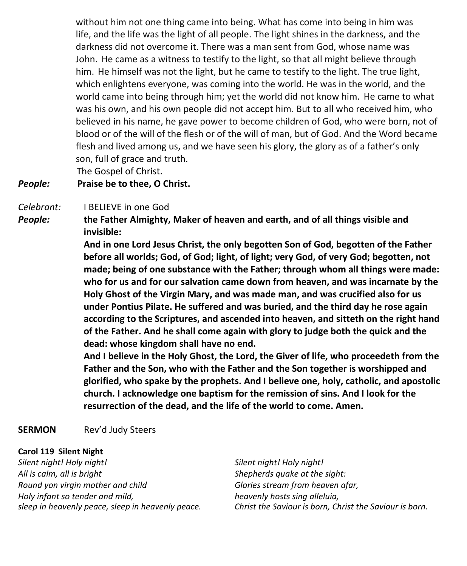without him not one thing came into being. What has come into being in him was life, and the life was the light of all people. The light shines in the darkness, and the darkness did not overcome it. There was a man sent from God, whose name was John. He came as a witness to testify to the light, so that all might believe through him. He himself was not the light, but he came to testify to the light. The true light, which enlightens everyone, was coming into the world. He was in the world, and the world came into being through him; yet the world did not know him. He came to what was his own, and his own people did not accept him. But to all who received him, who believed in his name, he gave power to become children of God, who were born, not of blood or of the will of the flesh or of the will of man, but of God. And the Word became flesh and lived among us, and we have seen his glory, the glory as of a father's only son, full of grace and truth. The Gospel of Christ.

*People:* **Praise be to thee, O Christ.**

#### *Celebrant:* I BELIEVE in one God

*People:* **the Father Almighty, Maker of heaven and earth, and of all things visible and invisible:**

> **And in one Lord Jesus Christ, the only begotten Son of God, begotten of the Father before all worlds; God, of God; light, of light; very God, of very God; begotten, not made; being of one substance with the Father; through whom all things were made: who for us and for our salvation came down from heaven, and was incarnate by the Holy Ghost of the Virgin Mary, and was made man, and was crucified also for us under Pontius Pilate. He suffered and was buried, and the third day he rose again according to the Scriptures, and ascended into heaven, and sitteth on the right hand of the Father. And he shall come again with glory to judge both the quick and the dead: whose kingdom shall have no end.**

> **And I believe in the Holy Ghost, the Lord, the Giver of life, who proceedeth from the Father and the Son, who with the Father and the Son together is worshipped and glorified, who spake by the prophets. And I believe one, holy, catholic, and apostolic church. I acknowledge one baptism for the remission of sins. And I look for the resurrection of the dead, and the life of the world to come. Amen.**

#### **SERMON** Rev'd Judy Steers

#### **Carol 119 Silent Night**

*Silent night! Holy night! All is calm, all is bright Round yon virgin mother and child Holy infant so tender and mild, sleep in heavenly peace, sleep in heavenly peace.* *Silent night! Holy night! Shepherds quake at the sight: Glories stream from heaven afar, heavenly hosts sing alleluia, Christ the Saviour is born, Christ the Saviour is born.*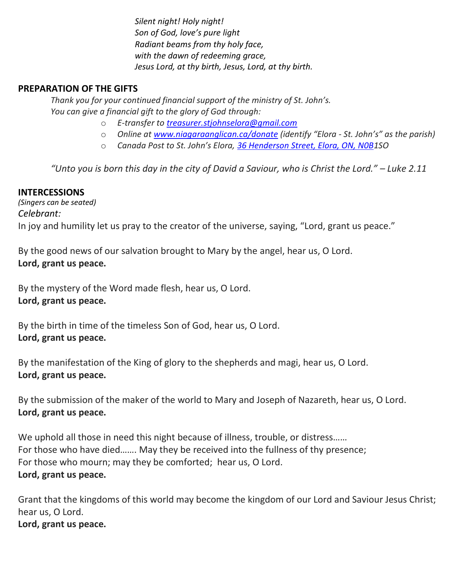*Silent night! Holy night! Son of God, love's pure light Radiant beams from thy holy face, with the dawn of redeeming grace, Jesus Lord, at thy birth, Jesus, Lord, at thy birth.*

#### **PREPARATION OF THE GIFTS**

*Thank you for your continued financial support of the ministry of St. John's. You can give a financial gift to the glory of God through:*

- o *E-transfer to [treasurer.stjohnselora@gmail.com](mailto:treasurer.stjohnselora@gmail.com)*
- o *Online at [www.niagaraanglican.ca/donate](http://www.niagaraanglican.ca/donate) (identify "Elora - St. John's" as the parish)*
- o *Canada Post to St. John's Elora, [36 Henderson Street, Elora, ON, N0B1](https://www.google.com/maps/search/36+Henderson+Street,+Elora,+ON,+N0B?entry=gmail&source=g)SO*

*"Unto you is born this day in the city of David a Saviour, who is Christ the Lord." – Luke 2.11*

#### **INTERCESSIONS**

*(Singers can be seated) Celebrant:* In joy and humility let us pray to the creator of the universe, saying, "Lord, grant us peace."

By the good news of our salvation brought to Mary by the angel, hear us, O Lord. **Lord, grant us peace.**

By the mystery of the Word made flesh, hear us, O Lord. **Lord, grant us peace.**

By the birth in time of the timeless Son of God, hear us, O Lord. **Lord, grant us peace.**

By the manifestation of the King of glory to the shepherds and magi, hear us, O Lord. **Lord, grant us peace.**

By the submission of the maker of the world to Mary and Joseph of Nazareth, hear us, O Lord. **Lord, grant us peace.**

We uphold all those in need this night because of illness, trouble, or distress...... For those who have died……. May they be received into the fullness of thy presence; For those who mourn; may they be comforted; hear us, O Lord. **Lord, grant us peace.**

Grant that the kingdoms of this world may become the kingdom of our Lord and Saviour Jesus Christ; hear us, O Lord. **Lord, grant us peace.**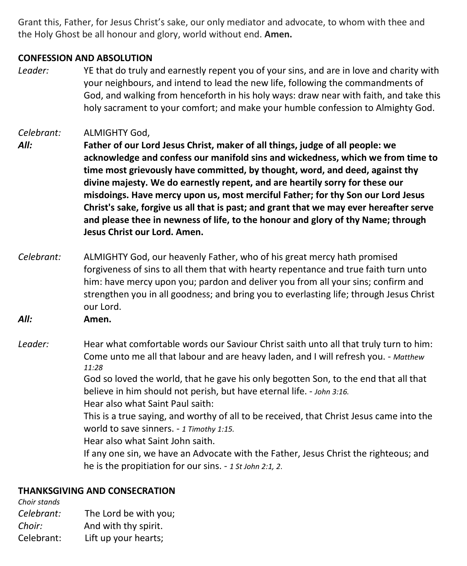Grant this, Father, for Jesus Christ's sake, our only mediator and advocate, to whom with thee and the Holy Ghost be all honour and glory, world without end. **Amen.**

#### **CONFESSION AND ABSOLUTION**

*Leader:* YE that do truly and earnestly repent you of your sins, and are in love and charity with your neighbours, and intend to lead the new life, following the commandments of God, and walking from henceforth in his holy ways: draw near with faith, and take this holy sacrament to your comfort; and make your humble confession to Almighty God.

*Celebrant:* ALMIGHTY God,

- *All:* **Father of our Lord Jesus Christ, maker of all things, judge of all people: we acknowledge and confess our manifold sins and wickedness, which we from time to time most grievously have committed, by thought, word, and deed, against thy divine majesty. We do earnestly repent, and are heartily sorry for these our misdoings. Have mercy upon us, most merciful Father; for thy Son our Lord Jesus Christ's sake, forgive us all that is past; and grant that we may ever hereafter serve and please thee in newness of life, to the honour and glory of thy Name; through Jesus Christ our Lord. Amen.**
- *Celebrant:* ALMIGHTY God, our heavenly Father, who of his great mercy hath promised forgiveness of sins to all them that with hearty repentance and true faith turn unto him: have mercy upon you; pardon and deliver you from all your sins; confirm and strengthen you in all goodness; and bring you to everlasting life; through Jesus Christ our Lord.

*All:* **Amen.**

*Leader:* Hear what comfortable words our Saviour Christ saith unto all that truly turn to him: Come unto me all that labour and are heavy laden, and I will refresh you. - *Matthew 11:28*

God so loved the world, that he gave his only begotten Son, to the end that all that believe in him should not perish, but have eternal life. - *John 3:16.* Hear also what Saint Paul saith:

This is a true saying, and worthy of all to be received, that Christ Jesus came into the world to save sinners. - *1 Timothy 1:15.*

Hear also what Saint John saith.

If any one sin, we have an Advocate with the Father, Jesus Christ the righteous; and he is the propitiation for our sins. - *1 St John 2:1, 2*.

#### **THANKSGIVING AND CONSECRATION**

*Choir stands Celebrant:* The Lord be with you; *Choir:* And with thy spirit. Celebrant: Lift up your hearts;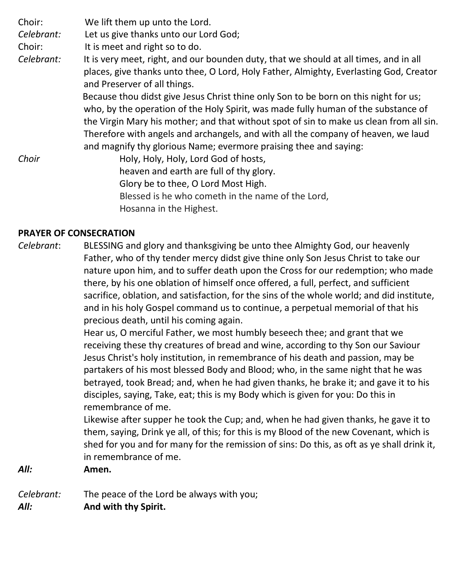Choir: We lift them up unto the Lord.

*Celebrant:* Let us give thanks unto our Lord God;

Choir: It is meet and right so to do.

*Celebrant:* It is very meet, right, and our bounden duty, that we should at all times, and in all places, give thanks unto thee, O Lord, Holy Father, Almighty, Everlasting God, Creator and Preserver of all things.

Because thou didst give Jesus Christ thine only Son to be born on this night for us; who, by the operation of the Holy Spirit, was made fully human of the substance of the Virgin Mary his mother; and that without spot of sin to make us clean from all sin. Therefore with angels and archangels, and with all the company of heaven, we laud and magnify thy glorious Name; evermore praising thee and saying:

*Choir Holy, Holy, Holy, Lord God of hosts,*  heaven and earth are full of thy glory. Glory be to thee, O Lord Most High. Blessed is he who cometh in the name of the Lord, Hosanna in the Highest.

#### **PRAYER OF CONSECRATION**

*Celebrant*: BLESSING and glory and thanksgiving be unto thee Almighty God, our heavenly Father, who of thy tender mercy didst give thine only Son Jesus Christ to take our nature upon him, and to suffer death upon the Cross for our redemption; who made there, by his one oblation of himself once offered, a full, perfect, and sufficient sacrifice, oblation, and satisfaction, for the sins of the whole world; and did institute, and in his holy Gospel command us to continue, a perpetual memorial of that his precious death, until his coming again.

> Hear us, O merciful Father, we most humbly beseech thee; and grant that we receiving these thy creatures of bread and wine, according to thy Son our Saviour Jesus Christ's holy institution, in remembrance of his death and passion, may be partakers of his most blessed Body and Blood; who, in the same night that he was betrayed, took Bread; and, when he had given thanks, he brake it; and gave it to his disciples, saying, Take, eat; this is my Body which is given for you: Do this in remembrance of me.

Likewise after supper he took the Cup; and, when he had given thanks, he gave it to them, saying, Drink ye all, of this; for this is my Blood of the new Covenant, which is shed for you and for many for the remission of sins: Do this, as oft as ye shall drink it, in remembrance of me.

#### *All:* **Amen.**

*Celebrant:* The peace of the Lord be always with you; *All:* **And with thy Spirit.**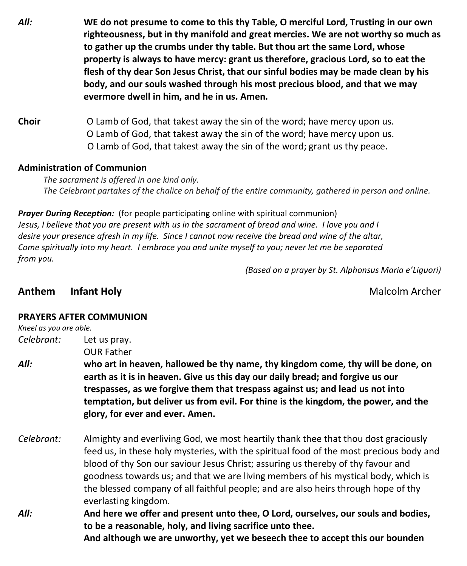- *All:* **WE do not presume to come to this thy Table, O merciful Lord, Trusting in our own righteousness, but in thy manifold and great mercies. We are not worthy so much as to gather up the crumbs under thy table. But thou art the same Lord, whose property is always to have mercy: grant us therefore, gracious Lord, so to eat the flesh of thy dear Son Jesus Christ, that our sinful bodies may be made clean by his body, and our souls washed through his most precious blood, and that we may evermore dwell in him, and he in us. Amen.**
- **Choir** O Lamb of God, that takest away the sin of the word; have mercy upon us. O Lamb of God, that takest away the sin of the word; have mercy upon us. O Lamb of God, that takest away the sin of the word; grant us thy peace.

#### **Administration of Communion**

 *The sacrament is offered in one kind only. The Celebrant partakes of the chalice on behalf of the entire community, gathered in person and online.* 

*Prayer During Reception:* (for people participating online with spiritual communion) Jesus, I believe that you are present with us in the sacrament of bread and wine. I love you and I desire your presence afresh in my life. Since I cannot now receive the bread and wine of the altar, *Come spiritually into my heart. I embrace you and unite myself to you; never let me be separated from you.*

*(Based on a prayer by St. Alphonsus Maria e'Liguori)* 

#### **Anthem Infant Holy** Malcolm Archer

#### **PRAYERS AFTER COMMUNION**

#### *Kneel as you are able.*

*Celebrant:* Let us pray. OUR Father

- *All:* **who art in heaven, hallowed be thy name, thy kingdom come, thy will be done, on earth as it is in heaven. Give us this day our daily bread; and forgive us our trespasses, as we forgive them that trespass against us; and lead us not into temptation, but deliver us from evil. For thine is the kingdom, the power, and the glory, for ever and ever. Amen.**
- *Celebrant:* Almighty and everliving God, we most heartily thank thee that thou dost graciously feed us, in these holy mysteries, with the spiritual food of the most precious body and blood of thy Son our saviour Jesus Christ; assuring us thereby of thy favour and goodness towards us; and that we are living members of his mystical body, which is the blessed company of all faithful people; and are also heirs through hope of thy everlasting kingdom.
- *All:* **And here we offer and present unto thee, O Lord, ourselves, our souls and bodies, to be a reasonable, holy, and living sacrifice unto thee. And although we are unworthy, yet we beseech thee to accept this our bounden**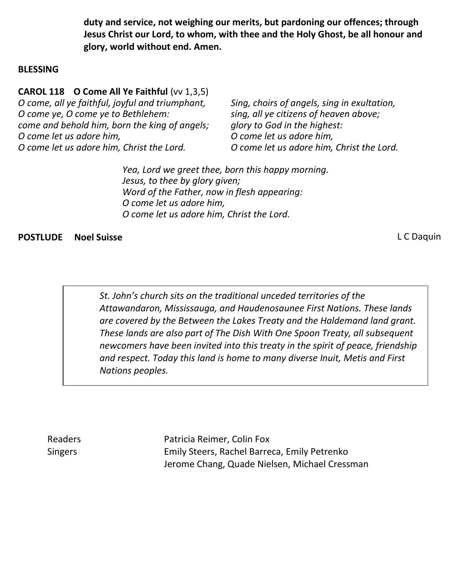**duty and service, not weighing our merits, but pardoning our offences; through Jesus Christ our Lord, to whom, with thee and the Holy Ghost, be all honour and glory, world without end. Amen.**

#### **BLESSING**

**CAROL 118 O Come All Ye Faithful** (vv 1,3,5) *O come, all ye faithful, joyful and triumphant, O come ye, O come ye to Bethlehem: come and behold him, born the king of angels; O come let us adore him, O come let us adore him, Christ the Lord.* 

*Sing, choirs of angels, sing in exultation, sing, all ye citizens of heaven above; glory to God in the highest: O come let us adore him, O come let us adore him, Christ the Lord.*

*Yea, Lord we greet thee, born this happy morning. Jesus, to thee by glory given; Word of the Father, now in flesh appearing: O come let us adore him, O come let us adore him, Christ the Lord.*

#### **POSTLUDE Noel Suisse** L C Daquin

*St. John's church sits on the traditional unceded territories of the Attawandaron, Mississauga, and Haudenosaunee First Nations. These lands are covered by the Between the Lakes Treaty and the Haldemand land grant. These lands are also part of The Dish With One Spoon Treaty, all subsequent newcomers have been invited into this treaty in the spirit of peace, friendship and respect. Today this land is home to many diverse Inuit, Metis and First Nations peoples.* 

Readers **Patricia Reimer, Colin Fox** Singers Emily Steers, Rachel Barreca, Emily Petrenko Jerome Chang, Quade Nielsen, Michael Cressman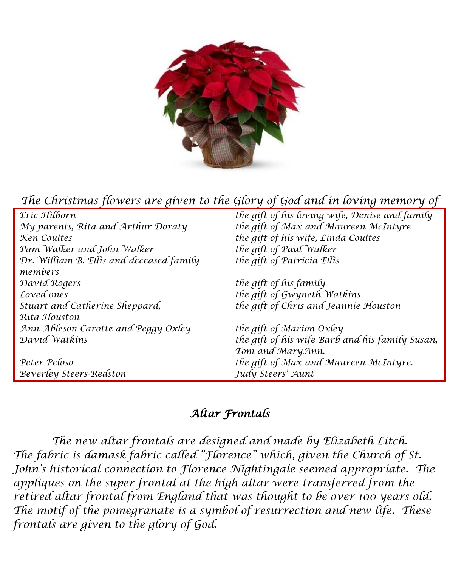

## *The Christmas flowers are given to the Glory of God and in loving memory of*

| Eric Hilborn                             | the gift of his loving wife, Denise and family  |
|------------------------------------------|-------------------------------------------------|
| My parents, Rita and Arthur Doraty       | the gift of Max and Maureen McIntyre            |
| Ken Coultes                              | the gift of his wife, Linda Coultes             |
| Pam Walker and John Walker               | the gift of Paul Walker                         |
| Dr. William B. Ellis and deceased family | the gift of Patricia Ellis                      |
| members                                  |                                                 |
| David Rogers                             | the gift of his family                          |
| Loved ones                               | the gift of Gwyneth Watkins                     |
| Stuart and Catherine Sheppard,           | the gift of Chris and Jeannie Houston           |
| Ríta Houston                             |                                                 |
| Ann Ableson Carotte and Peggy Oxley      | the gift of Marion Oxley                        |
| David Watkins                            | the gift of his wife Barb and his family Susan, |
|                                          | Tom and MaryAnn.                                |
| Peter Peloso                             | the gift of Max and Maureen McIntyre.           |
| Beverley Steers-Redston                  | Judy Steers' Aunt                               |

## *Altar Frontals*

*The new altar frontals are designed and made by Elizabeth Litch. The fabric is damask fabric called "Florence" which, given the Church of St. John's historical connection to Florence Nightingale seemed appropriate. The appliques on the super frontal at the high altar were transferred from the retired altar frontal from England that was thought to be over 100 years old. The motif of the pomegranate is a symbol of resurrection and new life. These frontals are given to the glory of God.*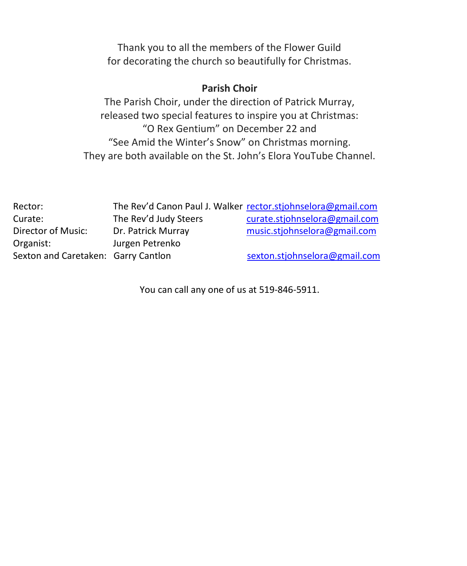Thank you to all the members of the Flower Guild for decorating the church so beautifully for Christmas.

#### **Parish Choir**

The Parish Choir, under the direction of Patrick Murray, released two special features to inspire you at Christmas: "O Rex Gentium" on December 22 and "See Amid the Winter's Snow" on Christmas morning. They are both available on the St. John's Elora YouTube Channel.

| Rector:                             |                       | The Rev'd Canon Paul J. Walker rector.stjohnselora@gmail.com |
|-------------------------------------|-----------------------|--------------------------------------------------------------|
| Curate:                             | The Rev'd Judy Steers | curate.stjohnselora@gmail.com                                |
| Director of Music:                  | Dr. Patrick Murray    | music.stjohnselora@gmail.com                                 |
| Organist:                           | Jurgen Petrenko       |                                                              |
| Sexton and Caretaken: Garry Cantlon |                       | sexton.stjohnselora@gmail.com                                |

You can call any one of us at 519-846-5911.